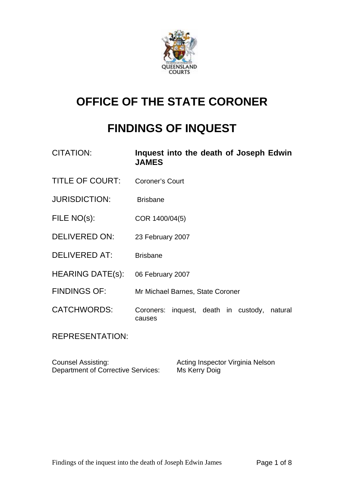

# **OFFICE OF THE STATE CORONER**

# **FINDINGS OF INQUEST**

| <b>CITATION:</b>        | Inquest into the death of Joseph Edwin<br><b>JAMES</b>    |
|-------------------------|-----------------------------------------------------------|
| <b>TITLE OF COURT:</b>  | <b>Coroner's Court</b>                                    |
| <b>JURISDICTION:</b>    | <b>Brisbane</b>                                           |
| FILE NO(s):             | COR 1400/04(5)                                            |
| <b>DELIVERED ON:</b>    | 23 February 2007                                          |
| <b>DELIVERED AT:</b>    | <b>Brisbane</b>                                           |
| <b>HEARING DATE(s):</b> | 06 February 2007                                          |
| <b>FINDINGS OF:</b>     | Mr Michael Barnes, State Coroner                          |
| <b>CATCHWORDS:</b>      | Coroners: inquest, death in custody,<br>natural<br>causes |
| DEDDECENTATION.         |                                                           |

REPRESENTATION:

Counsel Assisting: <br>
Department of Corrective Services: Ms Kerry Doig<br>
Ms Kerry Doig Department of Corrective Services: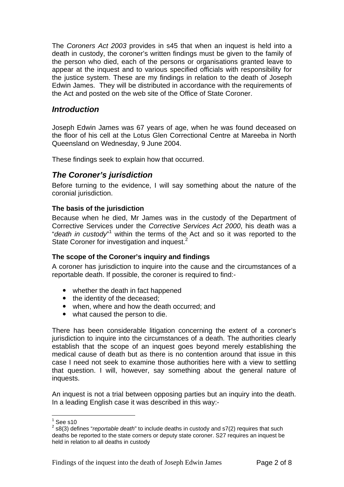The *Coroners Act 2003* provides in s45 that when an inquest is held into a death in custody, the coroner's written findings must be given to the family of the person who died, each of the persons or organisations granted leave to appear at the inquest and to various specified officials with responsibility for the justice system. These are my findings in relation to the death of Joseph Edwin James. They will be distributed in accordance with the requirements of the Act and posted on the web site of the Office of State Coroner.

# *Introduction*

Joseph Edwin James was 67 years of age, when he was found deceased on the floor of his cell at the Lotus Glen Correctional Centre at Mareeba in North Queensland on Wednesday, 9 June 2004.

These findings seek to explain how that occurred.

# *The Coroner's jurisdiction*

Before turning to the evidence, I will say something about the nature of the coronial jurisdiction.

#### **The basis of the jurisdiction**

Because when he died, Mr James was in the custody of the Department of Corrective Services under the *Corrective Services Act 2000*, his death was a "*death in custody*" within the terms of the Act and so it was reported to the State Coroner for investigation and inquest.<sup>2</sup>

#### **The scope of the Coroner's inquiry and findings**

A coroner has jurisdiction to inquire into the cause and the circumstances of a reportable death. If possible, the coroner is required to find:-

- whether the death in fact happened
- the identity of the deceased;
- when, where and how the death occurred; and
- what caused the person to die.

There has been considerable litigation concerning the extent of a coroner's jurisdiction to inquire into the circumstances of a death. The authorities clearly establish that the scope of an inquest goes beyond merely establishing the medical cause of death but as there is no contention around that issue in this case I need not seek to examine those authorities here with a view to settling that question. I will, however, say something about the general nature of inquests.

An inquest is not a trial between opposing parties but an inquiry into the death. In a leading English case it was described in this way:-

 $\frac{1}{1}$ See s10

<sup>2</sup> s8(3) defines "*reportable death*" to include deaths in custody and s7(2) requires that such deaths be reported to the state corners or deputy state coroner. S27 requires an inquest be held in relation to all deaths in custody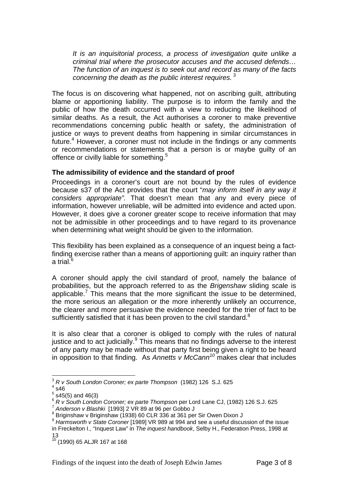*It is an inquisitorial process, a process of investigation quite unlike a criminal trial where the prosecutor accuses and the accused defends… The function of an inquest is to seek out and record as many of the facts concerning the death as the public interest requires.*<sup>3</sup>

The focus is on discovering what happened, not on ascribing guilt, attributing blame or apportioning liability. The purpose is to inform the family and the public of how the death occurred with a view to reducing the likelihood of similar deaths. As a result, the Act authorises a coroner to make preventive recommendations concerning public health or safety, the administration of justice or ways to prevent deaths from happening in similar circumstances in future.<sup>4</sup> However, a coroner must not include in the findings or any comments or recommendations or statements that a person is or maybe guilty of an offence or civilly liable for something.<sup>5</sup>

#### **The admissibility of evidence and the standard of proof**

Proceedings in a coroner's court are not bound by the rules of evidence because s37 of the Act provides that the court "*may inform itself in any way it considers appropriate".* That doesn't mean that any and every piece of information, however unreliable, will be admitted into evidence and acted upon. However, it does give a coroner greater scope to receive information that may not be admissible in other proceedings and to have regard to its provenance when determining what weight should be given to the information.

This flexibility has been explained as a consequence of an inquest being a factfinding exercise rather than a means of apportioning guilt: an inquiry rather than a trial. $^6$ 

A coroner should apply the civil standard of proof, namely the balance of probabilities, but the approach referred to as the *Brigenshaw* sliding scale is applicable.<sup>7</sup> This means that the more significant the issue to be determined, the more serious an allegation or the more inherently unlikely an occurrence, the clearer and more persuasive the evidence needed for the trier of fact to be sufficiently satisfied that it has been proven to the civil standard. $8$ 

It is also clear that a coroner is obliged to comply with the rules of natural justice and to act judicially. $9$  This means that no findings adverse to the interest of any party may be made without that party first being given a right to be heard in opposition to that finding. As *Annetts v McCann<sup>10</sup>* makes clear that includes

1

<sup>&</sup>lt;sup>3</sup> R v South London Coroner; ex parte Thompson (1982) 126 S.J. 625<br><sup>4</sup> a46

 $4$  s46

 $5$  s45(5) and 46(3)

<sup>&</sup>lt;sup>6</sup> *R v South London Coroner; ex parte Thompson* per Lord Lane CJ, (1982) 126 S.J. 625<br><sup>7</sup> Anderson v Blashki [1993] 2 VR 89 at 96 per Gobbo J

<sup>&</sup>lt;sup>8</sup> Briginshaw v Briginshaw (1938) 60 CLR 336 at 361 per Sir Owen Dixon J

<sup>9</sup> *Harmsworth v State Coroner* [1989] VR 989 at 994 and see a useful discussion of the issue in Freckelton I., "Inquest Law" in *The inquest handbook*, Selby H., Federation Press, 1998 at 13

<sup>10 (1990) 65</sup> ALJR 167 at 168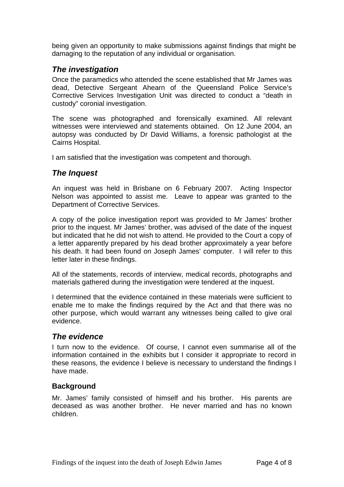being given an opportunity to make submissions against findings that might be damaging to the reputation of any individual or organisation.

# *The investigation*

Once the paramedics who attended the scene established that Mr James was dead, Detective Sergeant Ahearn of the Queensland Police Service's Corrective Services Investigation Unit was directed to conduct a "death in custody" coronial investigation.

The scene was photographed and forensically examined. All relevant witnesses were interviewed and statements obtained. On 12 June 2004, an autopsy was conducted by Dr David Williams, a forensic pathologist at the Cairns Hospital.

I am satisfied that the investigation was competent and thorough.

## *The Inquest*

An inquest was held in Brisbane on 6 February 2007. Acting Inspector Nelson was appointed to assist me. Leave to appear was granted to the Department of Corrective Services.

A copy of the police investigation report was provided to Mr James' brother prior to the inquest. Mr James' brother, was advised of the date of the inquest but indicated that he did not wish to attend. He provided to the Court a copy of a letter apparently prepared by his dead brother approximately a year before his death. It had been found on Joseph James' computer. I will refer to this letter later in these findings.

All of the statements, records of interview, medical records, photographs and materials gathered during the investigation were tendered at the inquest.

I determined that the evidence contained in these materials were sufficient to enable me to make the findings required by the Act and that there was no other purpose, which would warrant any witnesses being called to give oral evidence.

## *The evidence*

I turn now to the evidence. Of course, I cannot even summarise all of the information contained in the exhibits but I consider it appropriate to record in these reasons, the evidence I believe is necessary to understand the findings I have made.

## **Background**

Mr. James' family consisted of himself and his brother. His parents are deceased as was another brother. He never married and has no known children.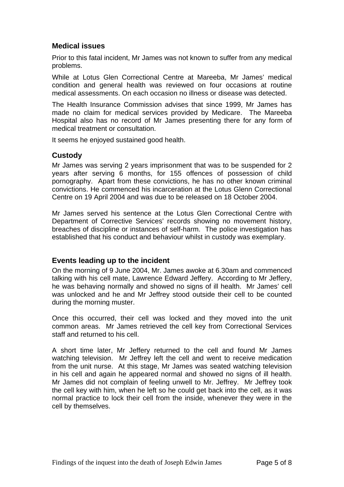# **Medical issues**

Prior to this fatal incident, Mr James was not known to suffer from any medical problems.

While at Lotus Glen Correctional Centre at Mareeba, Mr James' medical condition and general health was reviewed on four occasions at routine medical assessments. On each occasion no illness or disease was detected.

The Health Insurance Commission advises that since 1999, Mr James has made no claim for medical services provided by Medicare. The Mareeba Hospital also has no record of Mr James presenting there for any form of medical treatment or consultation.

It seems he enjoyed sustained good health.

#### **Custody**

Mr James was serving 2 years imprisonment that was to be suspended for 2 years after serving 6 months, for 155 offences of possession of child pornography. Apart from these convictions, he has no other known criminal convictions. He commenced his incarceration at the Lotus Glenn Correctional Centre on 19 April 2004 and was due to be released on 18 October 2004.

Mr James served his sentence at the Lotus Glen Correctional Centre with Department of Corrective Services' records showing no movement history, breaches of discipline or instances of self-harm. The police investigation has established that his conduct and behaviour whilst in custody was exemplary.

## **Events leading up to the incident**

On the morning of 9 June 2004, Mr. James awoke at 6.30am and commenced talking with his cell mate, Lawrence Edward Jeffery. According to Mr Jeffery, he was behaving normally and showed no signs of ill health. Mr James' cell was unlocked and he and Mr Jeffrey stood outside their cell to be counted during the morning muster.

Once this occurred, their cell was locked and they moved into the unit common areas. Mr James retrieved the cell key from Correctional Services staff and returned to his cell.

A short time later, Mr Jeffery returned to the cell and found Mr James watching television. Mr Jeffrey left the cell and went to receive medication from the unit nurse. At this stage, Mr James was seated watching television in his cell and again he appeared normal and showed no signs of ill health. Mr James did not complain of feeling unwell to Mr. Jeffrey. Mr Jeffrey took the cell key with him, when he left so he could get back into the cell, as it was normal practice to lock their cell from the inside, whenever they were in the cell by themselves.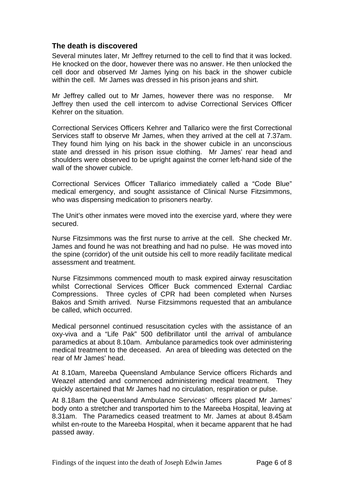## **The death is discovered**

Several minutes later, Mr Jeffrey returned to the cell to find that it was locked. He knocked on the door, however there was no answer. He then unlocked the cell door and observed Mr James lying on his back in the shower cubicle within the cell. Mr James was dressed in his prison jeans and shirt.

Mr Jeffrey called out to Mr James, however there was no response. Mr Jeffrey then used the cell intercom to advise Correctional Services Officer Kehrer on the situation.

Correctional Services Officers Kehrer and Tallarico were the first Correctional Services staff to observe Mr James, when they arrived at the cell at 7.37am. They found him lying on his back in the shower cubicle in an unconscious state and dressed in his prison issue clothing. Mr James' rear head and shoulders were observed to be upright against the corner left-hand side of the wall of the shower cubicle.

Correctional Services Officer Tallarico immediately called a "Code Blue" medical emergency, and sought assistance of Clinical Nurse Fitzsimmons, who was dispensing medication to prisoners nearby.

The Unit's other inmates were moved into the exercise yard, where they were secured.

Nurse Fitzsimmons was the first nurse to arrive at the cell. She checked Mr. James and found he was not breathing and had no pulse. He was moved into the spine (corridor) of the unit outside his cell to more readily facilitate medical assessment and treatment.

Nurse Fitzsimmons commenced mouth to mask expired airway resuscitation whilst Correctional Services Officer Buck commenced External Cardiac Compressions. Three cycles of CPR had been completed when Nurses Bakos and Smith arrived. Nurse Fitzsimmons requested that an ambulance be called, which occurred.

Medical personnel continued resuscitation cycles with the assistance of an oxy-viva and a "Life Pak" 500 defibrillator until the arrival of ambulance paramedics at about 8.10am. Ambulance paramedics took over administering medical treatment to the deceased. An area of bleeding was detected on the rear of Mr James' head.

At 8.10am, Mareeba Queensland Ambulance Service officers Richards and Weazel attended and commenced administering medical treatment. They quickly ascertained that Mr James had no circulation, respiration or pulse.

At 8.18am the Queensland Ambulance Services' officers placed Mr James' body onto a stretcher and transported him to the Mareeba Hospital, leaving at 8.31am. The Paramedics ceased treatment to Mr. James at about 8.45am whilst en-route to the Mareeba Hospital, when it became apparent that he had passed away.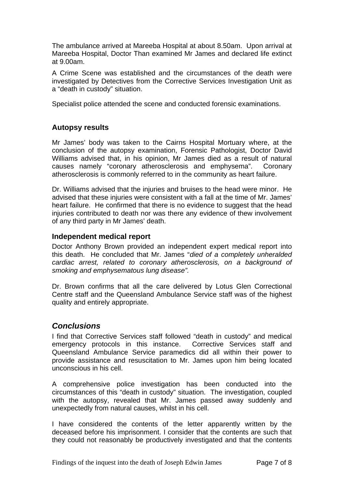The ambulance arrived at Mareeba Hospital at about 8.50am. Upon arrival at Mareeba Hospital, Doctor Than examined Mr James and declared life extinct at 9.00am.

A Crime Scene was established and the circumstances of the death were investigated by Detectives from the Corrective Services Investigation Unit as a "death in custody" situation.

Specialist police attended the scene and conducted forensic examinations.

#### **Autopsy results**

Mr James' body was taken to the Cairns Hospital Mortuary where, at the conclusion of the autopsy examination, Forensic Pathologist, Doctor David Williams advised that, in his opinion, Mr James died as a result of natural causes namely "coronary atherosclerosis and emphysema". Coronary atherosclerosis is commonly referred to in the community as heart failure.

Dr. Williams advised that the injuries and bruises to the head were minor. He advised that these injuries were consistent with a fall at the time of Mr. James' heart failure. He confirmed that there is no evidence to suggest that the head injuries contributed to death nor was there any evidence of thew involvement of any third party in Mr James' death.

#### **Independent medical report**

Doctor Anthony Brown provided an independent expert medical report into this death. He concluded that Mr. James "*died of a completely unheralded cardiac arrest, related to coronary atherosclerosis, on a background of smoking and emphysematous lung disease".* 

Dr. Brown confirms that all the care delivered by Lotus Glen Correctional Centre staff and the Queensland Ambulance Service staff was of the highest quality and entirely appropriate.

## *Conclusions*

I find that Corrective Services staff followed "death in custody" and medical emergency protocols in this instance. Corrective Services staff and Queensland Ambulance Service paramedics did all within their power to provide assistance and resuscitation to Mr. James upon him being located unconscious in his cell.

A comprehensive police investigation has been conducted into the circumstances of this "death in custody" situation. The investigation, coupled with the autopsy, revealed that Mr. James passed away suddenly and unexpectedly from natural causes, whilst in his cell.

I have considered the contents of the letter apparently written by the deceased before his imprisonment. I consider that the contents are such that they could not reasonably be productively investigated and that the contents